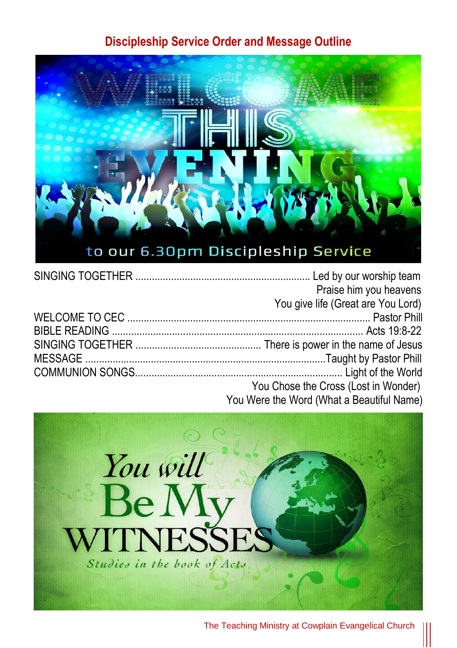#### **Discipleship Service Order and Message Outline**



|  | Praise him you heavens                     |
|--|--------------------------------------------|
|  | You give life (Great are You Lord)         |
|  |                                            |
|  |                                            |
|  |                                            |
|  |                                            |
|  |                                            |
|  | You Chose the Cross (Lost in Wonder)       |
|  | You Were the Word (What a Requitiful Name) |



The Teaching Ministry at Cowplain Evangelical Church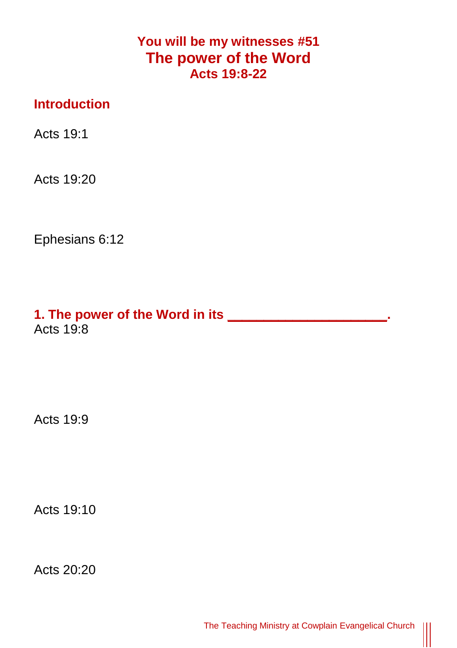## **You will be my witnesses #51 The power of the Word Acts 19:8-22**

## **Introduction**

Acts 19:1

Acts 19:20

Ephesians 6:12

**1. The power of the Word in its \_\_\_\_\_\_\_\_\_\_\_\_\_\_\_\_\_\_\_\_\_\_.** Acts 19:8

Acts 19:9

Acts 19:10

Acts 20:20

 $\parallel$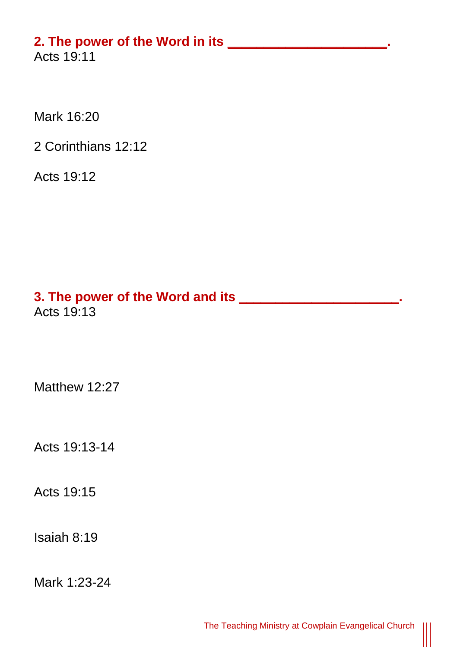## **2. The power of the Word in its \_\_\_\_\_\_\_\_\_\_\_\_\_\_\_\_\_\_\_\_\_\_.**

Acts 19:11

Mark 16:20

2 Corinthians 12:12

Acts 19:12

# **3. The power of the Word and its \_\_\_\_\_\_\_\_\_\_\_\_\_\_\_\_\_\_\_\_\_\_.** Acts 19:13

Matthew 12:27

Acts 19:13-14

Acts 19:15

Isaiah 8:19

Mark 1:23-24

 $\parallel$